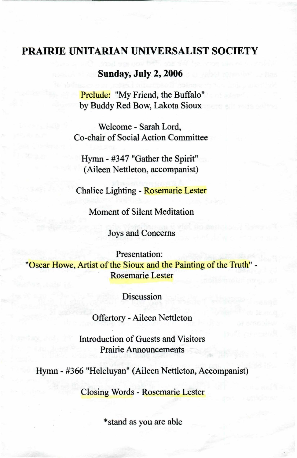## **PRAIRIE UNITARIAN UNIVERSALIST SOCIETY**

### **Sunday, July 2, 2006**

Prelude: "My Friend, the Buffalo" by Buddy Red Bow, Lakota Sioux

Welcome - Sarah Lord, Co-chair of Social Action Committee

Hymn - #347 "Gather the Spirit" (Aileen Nettleton, accompanist)

Chalice Lighting - Rosemarie Lester

. Moment of Silent Meditation

Joys and Concerns

Presentation: "Oscar Howe, Artist of the Sioux and the Painting of the Truth" -Rosemarie Lester

Discussion

Offertory - Aileen Nettleton

Introduction of Guests and Visitors Prairie Announcements

Hymn - #366 "Heleluyan" (Aileen Nettleton, Accompanist)

Closing Words - Rosemarie Lester

\*stand as you are able